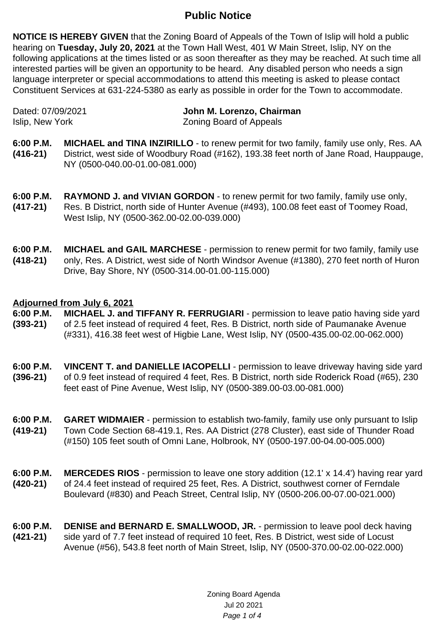## **Public Notice**

**NOTICE IS HEREBY GIVEN** that the Zoning Board of Appeals of the Town of Islip will hold a public hearing on **Tuesday, July 20, 2021** at the Town Hall West, 401 W Main Street, Islip, NY on the following applications at the times listed or as soon thereafter as they may be reached. At such time all interested parties will be given an opportunity to be heard. Any disabled person who needs a sign language interpreter or special accommodations to attend this meeting is asked to please contact Constituent Services at 631-224-5380 as early as possible in order for the Town to accommodate.

Dated: 07/09/2021 **John M. Lorenzo, Chairman** Islip, New York **Zoning Board of Appeals** 

- **6:00 P.M. (416-21) MICHAEL and TINA INZIRILLO** - to renew permit for two family, family use only, Res. AA District, west side of Woodbury Road (#162), 193.38 feet north of Jane Road, Hauppauge, NY (0500-040.00-01.00-081.000)
- **6:00 P.M. (417-21) RAYMOND J. and VIVIAN GORDON** - to renew permit for two family, family use only, Res. B District, north side of Hunter Avenue (#493), 100.08 feet east of Toomey Road, West Islip, NY (0500-362.00-02.00-039.000)
- **6:00 P.M. (418-21) MICHAEL and GAIL MARCHESE** - permission to renew permit for two family, family use only, Res. A District, west side of North Windsor Avenue (#1380), 270 feet north of Huron Drive, Bay Shore, NY (0500-314.00-01.00-115.000)

## **Adjourned from July 6, 2021**

- **6:00 P.M. (393-21) MICHAEL J. and TIFFANY R. FERRUGIARI** - permission to leave patio having side yard of 2.5 feet instead of required 4 feet, Res. B District, north side of Paumanake Avenue (#331), 416.38 feet west of Higbie Lane, West Islip, NY (0500-435.00-02.00-062.000)
- **6:00 P.M. (396-21) VINCENT T. and DANIELLE IACOPELLI** - permission to leave driveway having side yard of 0.9 feet instead of required 4 feet, Res. B District, north side Roderick Road (#65), 230 feet east of Pine Avenue, West Islip, NY (0500-389.00-03.00-081.000)
- **6:00 P.M. (419-21) GARET WIDMAIER** - permission to establish two-family, family use only pursuant to Islip Town Code Section 68-419.1, Res. AA District (278 Cluster), east side of Thunder Road (#150) 105 feet south of Omni Lane, Holbrook, NY (0500-197.00-04.00-005.000)
- **6:00 P.M. (420-21) MERCEDES RIOS** - permission to leave one story addition (12.1' x 14.4') having rear yard of 24.4 feet instead of required 25 feet, Res. A District, southwest corner of Ferndale Boulevard (#830) and Peach Street, Central Islip, NY (0500-206.00-07.00-021.000)
- **6:00 P.M. (421-21) DENISE and BERNARD E. SMALLWOOD, JR.** - permission to leave pool deck having side yard of 7.7 feet instead of required 10 feet, Res. B District, west side of Locust Avenue (#56), 543.8 feet north of Main Street, Islip, NY (0500-370.00-02.00-022.000)

Zoning Board Agenda Jul 20 2021 Page 1 of 4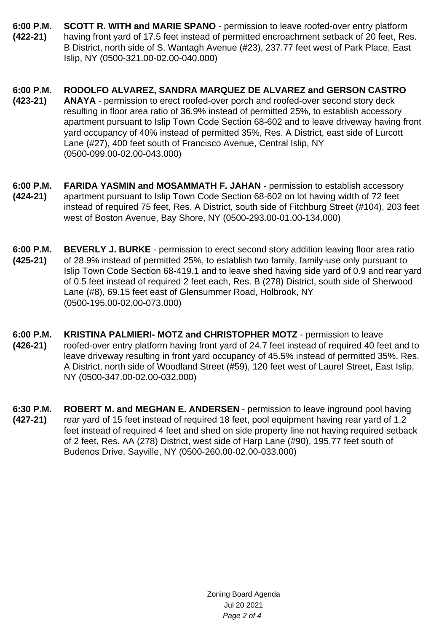- **6:00 P.M. (422-21) SCOTT R. WITH and MARIE SPANO** - permission to leave roofed-over entry platform having front yard of 17.5 feet instead of permitted encroachment setback of 20 feet, Res. B District, north side of S. Wantagh Avenue (#23), 237.77 feet west of Park Place, East Islip, NY (0500-321.00-02.00-040.000)
- **6:00 P.M. (423-21) RODOLFO ALVAREZ, SANDRA MARQUEZ DE ALVAREZ and GERSON CASTRO ANAYA** - permission to erect roofed-over porch and roofed-over second story deck resulting in floor area ratio of 36.9% instead of permitted 25%, to establish accessory apartment pursuant to Islip Town Code Section 68-602 and to leave driveway having front yard occupancy of 40% instead of permitted 35%, Res. A District, east side of Lurcott Lane (#27), 400 feet south of Francisco Avenue, Central Islip, NY (0500-099.00-02.00-043.000)
- **6:00 P.M. (424-21) FARIDA YASMIN and MOSAMMATH F. JAHAN** - permission to establish accessory apartment pursuant to Islip Town Code Section 68-602 on lot having width of 72 feet instead of required 75 feet, Res. A District, south side of Fitchburg Street (#104), 203 feet west of Boston Avenue, Bay Shore, NY (0500-293.00-01.00-134.000)
- **6:00 P.M. (425-21) BEVERLY J. BURKE** - permission to erect second story addition leaving floor area ratio of 28.9% instead of permitted 25%, to establish two family, family-use only pursuant to Islip Town Code Section 68-419.1 and to leave shed having side yard of 0.9 and rear yard of 0.5 feet instead of required 2 feet each, Res. B (278) District, south side of Sherwood Lane (#8), 69.15 feet east of Glensummer Road, Holbrook, NY (0500-195.00-02.00-073.000)
- **6:00 P.M. (426-21) KRISTINA PALMIERI- MOTZ and CHRISTOPHER MOTZ** - permission to leave roofed-over entry platform having front yard of 24.7 feet instead of required 40 feet and to leave driveway resulting in front yard occupancy of 45.5% instead of permitted 35%, Res. A District, north side of Woodland Street (#59), 120 feet west of Laurel Street, East Islip, NY (0500-347.00-02.00-032.000)
- **6:30 P.M. (427-21) ROBERT M. and MEGHAN E. ANDERSEN** - permission to leave inground pool having rear yard of 15 feet instead of required 18 feet, pool equipment having rear yard of 1.2 feet instead of required 4 feet and shed on side property line not having required setback of 2 feet, Res. AA (278) District, west side of Harp Lane (#90), 195.77 feet south of Budenos Drive, Sayville, NY (0500-260.00-02.00-033.000)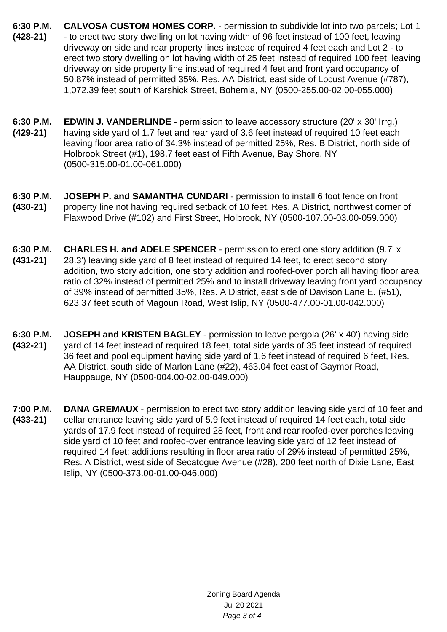- **6:30 P.M. (428-21) CALVOSA CUSTOM HOMES CORP.** - permission to subdivide lot into two parcels; Lot 1 - to erect two story dwelling on lot having width of 96 feet instead of 100 feet, leaving driveway on side and rear property lines instead of required 4 feet each and Lot 2 - to erect two story dwelling on lot having width of 25 feet instead of required 100 feet, leaving driveway on side property line instead of required 4 feet and front yard occupancy of 50.87% instead of permitted 35%, Res. AA District, east side of Locust Avenue (#787), 1,072.39 feet south of Karshick Street, Bohemia, NY (0500-255.00-02.00-055.000)
- **6:30 P.M. (429-21) EDWIN J. VANDERLINDE** - permission to leave accessory structure (20' x 30' Irrg.) having side yard of 1.7 feet and rear yard of 3.6 feet instead of required 10 feet each leaving floor area ratio of 34.3% instead of permitted 25%, Res. B District, north side of Holbrook Street (#1), 198.7 feet east of Fifth Avenue, Bay Shore, NY (0500-315.00-01.00-061.000)
- **6:30 P.M. (430-21) JOSEPH P. and SAMANTHA CUNDARI** - permission to install 6 foot fence on front property line not having required setback of 10 feet, Res. A District, northwest corner of Flaxwood Drive (#102) and First Street, Holbrook, NY (0500-107.00-03.00-059.000)
- **6:30 P.M. (431-21) CHARLES H. and ADELE SPENCER** - permission to erect one story addition (9.7' x 28.3') leaving side yard of 8 feet instead of required 14 feet, to erect second story addition, two story addition, one story addition and roofed-over porch all having floor area ratio of 32% instead of permitted 25% and to install driveway leaving front yard occupancy of 39% instead of permitted 35%, Res. A District, east side of Davison Lane E. (#51), 623.37 feet south of Magoun Road, West Islip, NY (0500-477.00-01.00-042.000)
- **6:30 P.M. (432-21) JOSEPH and KRISTEN BAGLEY** - permission to leave pergola (26' x 40') having side yard of 14 feet instead of required 18 feet, total side yards of 35 feet instead of required 36 feet and pool equipment having side yard of 1.6 feet instead of required 6 feet, Res. AA District, south side of Marlon Lane (#22), 463.04 feet east of Gaymor Road, Hauppauge, NY (0500-004.00-02.00-049.000)
- **7:00 P.M. (433-21) DANA GREMAUX** - permission to erect two story addition leaving side yard of 10 feet and cellar entrance leaving side yard of 5.9 feet instead of required 14 feet each, total side yards of 17.9 feet instead of required 28 feet, front and rear roofed-over porches leaving side yard of 10 feet and roofed-over entrance leaving side yard of 12 feet instead of required 14 feet; additions resulting in floor area ratio of 29% instead of permitted 25%, Res. A District, west side of Secatogue Avenue (#28), 200 feet north of Dixie Lane, East Islip, NY (0500-373.00-01.00-046.000)

Zoning Board Agenda Jul 20 2021 Page 3 of 4